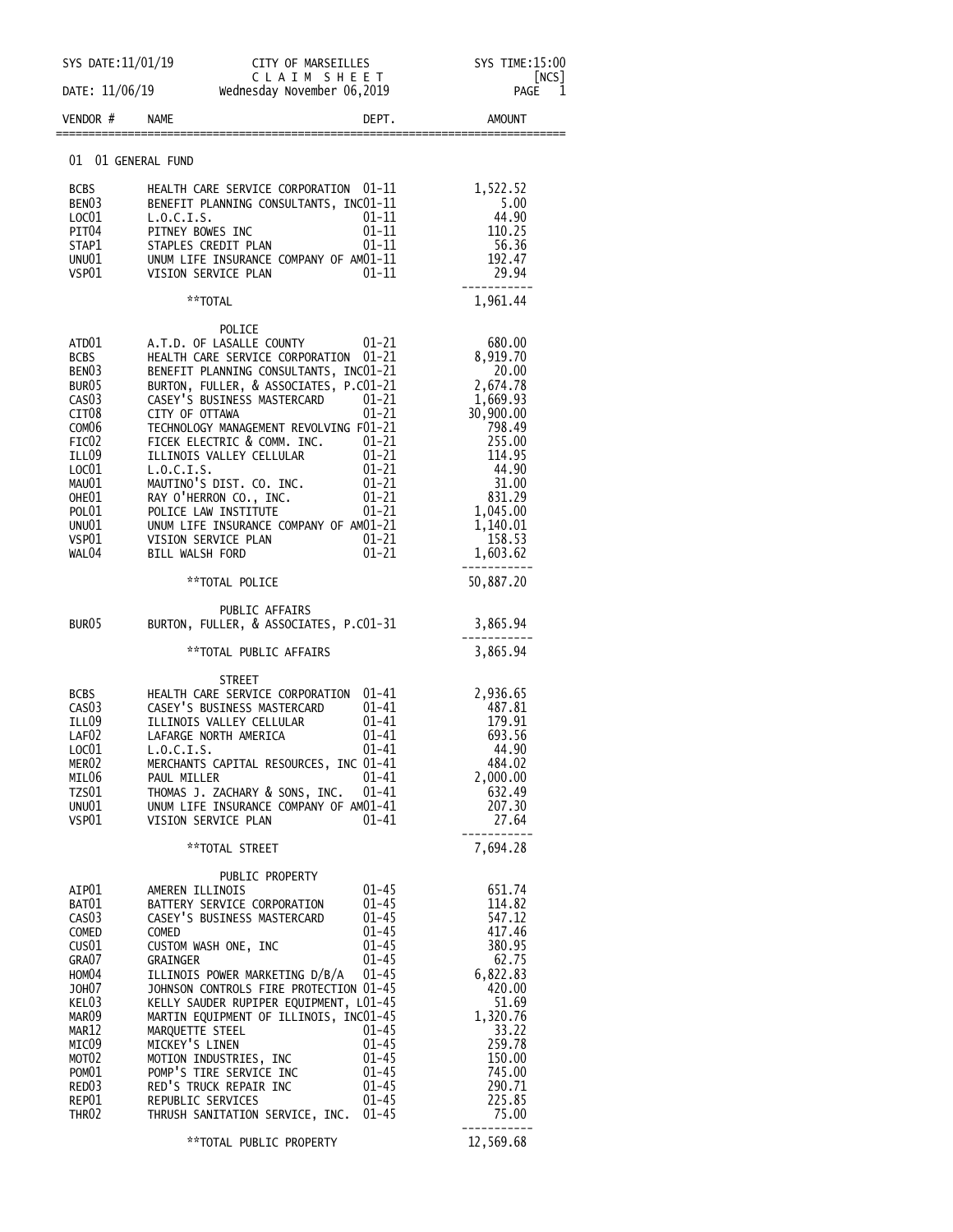| SYS DATE: 11/01/19                     |                                                   |                                                                                                                                  | SYS TIME:15:00              |  |
|----------------------------------------|---------------------------------------------------|----------------------------------------------------------------------------------------------------------------------------------|-----------------------------|--|
| DATE: 11/06/19                         |                                                   | CITY OF MARSEILLES<br>C L A I M S H E E T<br>Wednesday November 06,2019                                                          | [NCS]<br><b>PAGE</b><br>- 1 |  |
| VENDOR #                               | NAME                                              | DEPT.                                                                                                                            | AMOUNT                      |  |
| 01 01 GENERAL FUND                     |                                                   |                                                                                                                                  |                             |  |
| BCBS                                   |                                                   | HEALTH CARE SERVICE CORPORATION 01-11                                                                                            | 1,522.52                    |  |
| BEN03                                  |                                                   | BENEFIT PLANNING CONSULTANTS, INC01-11                                                                                           | 5.00                        |  |
| LOC01                                  | L.0.C.I.S.                                        | 01-11<br>01-11                                                                                                                   | 44.90                       |  |
| PIT04<br>STAP1                         | PITNEY BOWES INC<br>STAPLES CREDIT PLAN           | $01 - 11$<br>$01 - 11$                                                                                                           | 110.25<br>56.36             |  |
|                                        |                                                   | UNUOI UNUM LIFE INSURANCE COMPANY OF AMO1-11<br>VSPO1 VISION SERVICE PLAN 01-11                                                  | 192.47                      |  |
|                                        |                                                   |                                                                                                                                  | 29.94                       |  |
|                                        | **TOTAL                                           |                                                                                                                                  | 1,961.44                    |  |
|                                        | POLICE                                            |                                                                                                                                  |                             |  |
| ATD01<br>BCBS                          |                                                   | A.T.D. OF LASALLE COUNTY<br>HEALTH CARE SERVICE CORPORATION 01-21                                                                | 680.00<br>8,919.70          |  |
| BEN03                                  |                                                   |                                                                                                                                  | 20.00                       |  |
| BUR05                                  |                                                   | BURTON, FULLER, & ASSOCIATES, P.CO1-21                                                                                           | 2,674.78                    |  |
| CAS <sub>03</sub><br>CIT <sub>08</sub> | CASEY'S BUSINESS MASTERCARD                       | $01 - 21$<br>$01 - 21$                                                                                                           | 1,669.93                    |  |
| COM <sub>06</sub>                      | CITY OF OTTAWA                                    |                                                                                                                                  | 30,900.00<br>798.49         |  |
| FIC02                                  |                                                   |                                                                                                                                  | 255.00                      |  |
| ILL09<br>LOC01                         |                                                   | TECHNOLOGY MANAGEMENT.<br>FICEK ELECTRIC & COMM. INC.<br>ILLINOIS VALLEY CELLULAR 01-21<br>COLOGY CELLULAR 01-21<br>COLOGY 01-21 | 114.95<br>44.90             |  |
| MAUO1                                  |                                                   |                                                                                                                                  | 31.00                       |  |
| OHE01                                  |                                                   | MAUTINO'S DIST. CO. INC. 01-21<br>RAY O'HERRON CO., INC. 01-21                                                                   | 831.29                      |  |
| POL01                                  | POLICE LAW INSTITUTE                              | $01 - 21$                                                                                                                        | 1,045.00                    |  |
| UNU01<br>VSP01                         |                                                   | UNUM LIFE INSURANCE COMPANY OF AM01-21<br>VISION SERVICE PLAN $01-21$<br>PTLL WALSH FORD $01-21$                                 | 1,140.01<br>158.53          |  |
| WAL04                                  | BILL WALSH FORD                                   | $01 - 21$                                                                                                                        | 1,603.62                    |  |
|                                        | **TOTAL POLICE                                    |                                                                                                                                  | 50,887.20                   |  |
| BUR <sub>05</sub>                      | PUBLIC AFFAIRS                                    | BURTON, FULLER, & ASSOCIATES, P.CO1-31                                                                                           | 3,865.94                    |  |
|                                        | **TOTAL PUBLIC AFFAIRS                            |                                                                                                                                  | 3,865.94                    |  |
|                                        |                                                   |                                                                                                                                  |                             |  |
| BCBS                                   | <b>STREET</b>                                     | HEALTH CARE SERVICE CORPORATION 01-41                                                                                            | 2,936.65                    |  |
| CAS03                                  | CASEY'S BUSINESS MASTERCARD                       | 01-41                                                                                                                            | 487.81                      |  |
| ILL09                                  | ILLINOIS VALLEY CELLULAR                          | 01–41                                                                                                                            | 179.91                      |  |
| LAF02<br>LOC01                         | LAFARGE NORTH AMERICA<br>L.0.C.I.S.               | $01 - 41$<br>$01 - 41$                                                                                                           | 693.56<br>44.90             |  |
| MER02                                  |                                                   | MERCHANTS CAPITAL RESOURCES, INC 01-41                                                                                           | 484.02                      |  |
| MILO6                                  | PAUL MILLER                                       | $01 - 41$                                                                                                                        | 2,000.00                    |  |
| TZS01<br>UNU01                         | THOMAS J. ZACHARY & SONS, INC.                    | 01–41<br>UNUM LIFE INSURANCE COMPANY OF AM01-41                                                                                  | 632.49<br>207.30            |  |
| VSP01                                  | VISION SERVICE PLAN                               | $01 - 41$                                                                                                                        | 27.64                       |  |
|                                        | **TOTAL STREET                                    |                                                                                                                                  | 7,694.28                    |  |
|                                        |                                                   | PUBLIC PROPERTY                                                                                                                  |                             |  |
| AIP01<br>BAT01                         | AMEREN ILLINOIS<br>BATTERY SERVICE CORPORATION    | $01 - 45$<br>$01 - 45$                                                                                                           | 651.74<br>114.82            |  |
| CAS <sub>03</sub>                      | CASEY'S BUSINESS MASTERCARD                       | $01 - 45$                                                                                                                        | 547.12                      |  |
| COMED                                  | COMED                                             | $01 - 45$<br>$01 - 45$                                                                                                           | 417.46                      |  |
| CUS01<br>GRA07                         | CUSTOM WASH ONE, INC<br>GRAINGER                  | $01 - 45$                                                                                                                        | 380.95<br>62.75             |  |
| HOM04                                  | ILLINOIS POWER MARKETING D/B/A                    | $01 - 45$                                                                                                                        | 6,822.83                    |  |
| JOH07                                  |                                                   | JOHNSON CONTROLS FIRE PROTECTION 01-45                                                                                           | 420.00                      |  |
| KEL03<br>mar09                         |                                                   | KELLY SAUDER RUPIPER EQUIPMENT, L01-45<br>MARTIN EQUIPMENT OF ILLINOIS, INC01-45                                                 | 51.69<br>1,320.76           |  |
| MAR12                                  | MARQUETTE STEEL                                   | $01 - 45$                                                                                                                        | 33.22                       |  |
| MICO9                                  | MICKEY'S LINEN                                    | $01 - 45$                                                                                                                        | 259.78                      |  |
| MOT <sub>02</sub><br>POM01             | MOTION INDUSTRIES, INC<br>POMP'S TIRE SERVICE INC | $01 - 45$<br>$01 - 45$                                                                                                           | 150.00<br>745.00            |  |
| RED03                                  | RED'S TRUCK REPAIR INC                            | $01 - 45$                                                                                                                        | 290.71                      |  |
| REP01                                  | REPUBLIC SERVICES                                 | $01 - 45$                                                                                                                        | 225.85                      |  |
| THR <sub>02</sub>                      |                                                   | THRUSH SANITATION SERVICE, INC. 01-45                                                                                            | 75.00<br>.                  |  |
|                                        | **TOTAL PUBLIC PROPERTY                           |                                                                                                                                  | 12,569.68                   |  |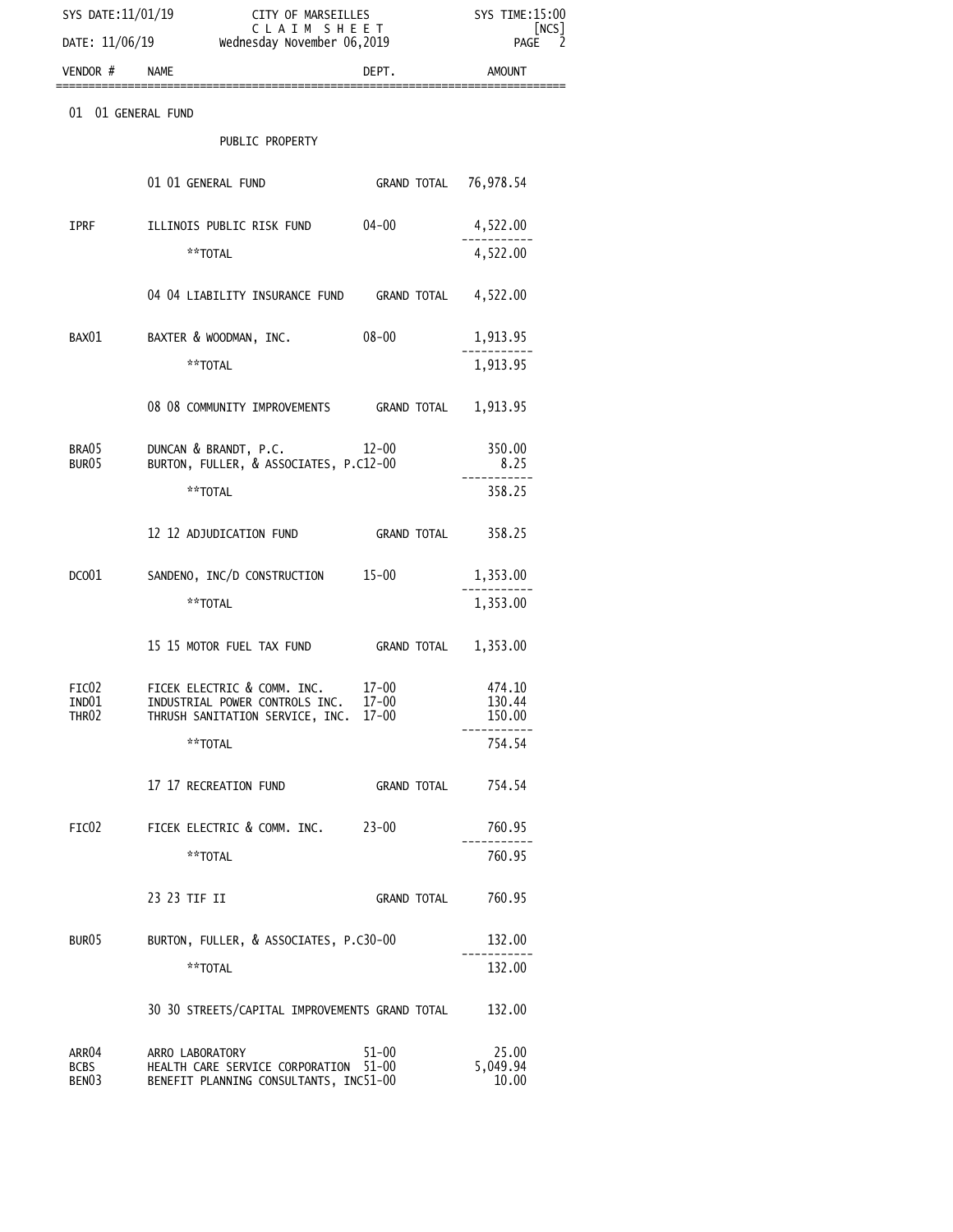| SYS DATE: 11/01/19<br>DATE: 11/06/19      | SYS TIME: 15:00<br>[NCS]<br>PAGE                                                                       |                        |                            |
|-------------------------------------------|--------------------------------------------------------------------------------------------------------|------------------------|----------------------------|
| VENDOR # NAME                             |                                                                                                        | DEPT.                  | AMOUNT                     |
| 01 01 GENERAL FUND                        |                                                                                                        |                        |                            |
|                                           | PUBLIC PROPERTY                                                                                        |                        |                            |
|                                           | 01 01 GENERAL FUND                                                                                     | GRAND TOTAL 76,978.54  |                            |
| IPRF                                      | ILLINOIS PUBLIC RISK FUND                                                                              | 04-00                  | 4,522.00                   |
|                                           | **TOTAL                                                                                                |                        | 4,522.00                   |
|                                           | 04 04 LIABILITY INSURANCE FUND GRAND TOTAL 4,522.00                                                    |                        |                            |
| BAX01                                     | BAXTER & WOODMAN, INC.                                                                                 | 08-00                  | 1,913.95                   |
|                                           | **TOTAL                                                                                                |                        | 1,913.95                   |
|                                           | 08 08 COMMUNITY IMPROVEMENTS GRAND TOTAL 1,913.95                                                      |                        |                            |
| BRA05<br>BUR05                            | DUNCAN & BRANDT, P.C. 12-00<br>BURTON, FULLER, & ASSOCIATES, P.C12-00                                  | 350.00<br>8.25         |                            |
|                                           | **TOTAL                                                                                                |                        | 358.25                     |
|                                           | 12 12 ADJUDICATION FUND                                                                                | <b>GRAND TOTAL</b>     | 358.25                     |
| DCO <sub>01</sub>                         | SANDENO, INC/D CONSTRUCTION 15-00                                                                      |                        | 1,353.00                   |
|                                           | **TOTAL                                                                                                |                        | 1,353.00                   |
|                                           | 15 15 MOTOR FUEL TAX FUND                                                                              | <b>GRAND TOTAL</b>     | 1,353.00                   |
| FIC02<br>IND01<br>THR <sub>02</sub>       | FICEK ELECTRIC & COMM. INC.<br>INDUSTRIAL POWER CONTROLS INC.<br>THRUSH SANITATION SERVICE, INC. 17-00 | $17 - 00$<br>$17 - 00$ | 474.10<br>130.44<br>150.00 |
|                                           | **TOTAL                                                                                                |                        | 754.54                     |
|                                           | 17 17 RECREATION FUND                                                                                  | GRAND TOTAL            | 754.54                     |
| FIC <sub>02</sub>                         | FICEK ELECTRIC & COMM. INC. 23-00                                                                      |                        | 760.95                     |
|                                           | **TOTAL                                                                                                |                        | 760.95                     |
|                                           | 23 23 TIF II                                                                                           | GRAND TOTAL            | 760.95                     |
| BUR <sub>05</sub>                         | BURTON, FULLER, & ASSOCIATES, P.C30-00                                                                 | 132.00                 |                            |
|                                           | **TOTAL                                                                                                |                        | 132.00                     |
|                                           | 30 30 STREETS/CAPITAL IMPROVEMENTS GRAND TOTAL                                                         |                        | 132.00                     |
| ARR04<br><b>BCBS</b><br>BEN <sub>03</sub> | ARRO LABORATORY<br>HEALTH CARE SERVICE CORPORATION<br>BENEFIT PLANNING CONSULTANTS, INC51-00           | 51-00<br>$51 - 00$     | 25.00<br>5,049.94<br>10.00 |